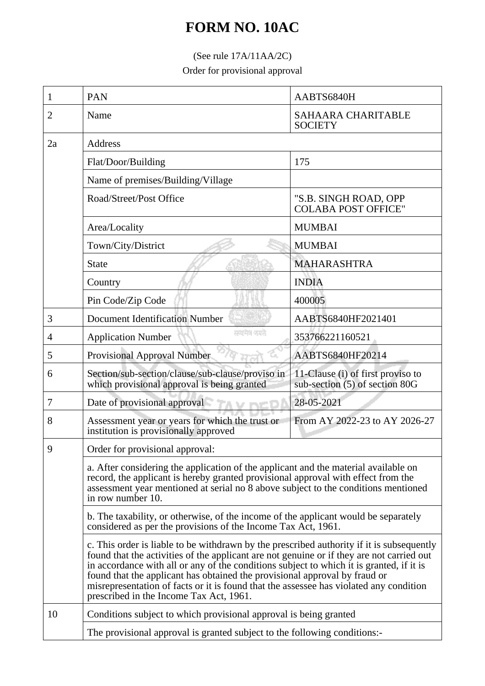## **FORM NO. 10AC**

## (See rule 17A/11AA/2C)

Order for provisional approval

| 1  | PAN                                                                                                                                                                                                                                                                                                                                                                                                                                                                                                                                                                                                                                                                                                                                                                                                                                                                                                                                                                                     | AABTS6840H                                                          |  |
|----|-----------------------------------------------------------------------------------------------------------------------------------------------------------------------------------------------------------------------------------------------------------------------------------------------------------------------------------------------------------------------------------------------------------------------------------------------------------------------------------------------------------------------------------------------------------------------------------------------------------------------------------------------------------------------------------------------------------------------------------------------------------------------------------------------------------------------------------------------------------------------------------------------------------------------------------------------------------------------------------------|---------------------------------------------------------------------|--|
| 2  | Name                                                                                                                                                                                                                                                                                                                                                                                                                                                                                                                                                                                                                                                                                                                                                                                                                                                                                                                                                                                    | <b>SAHAARA CHARITABLE</b><br><b>SOCIETY</b>                         |  |
| 2a | Address                                                                                                                                                                                                                                                                                                                                                                                                                                                                                                                                                                                                                                                                                                                                                                                                                                                                                                                                                                                 |                                                                     |  |
|    | Flat/Door/Building                                                                                                                                                                                                                                                                                                                                                                                                                                                                                                                                                                                                                                                                                                                                                                                                                                                                                                                                                                      | 175                                                                 |  |
|    | Name of premises/Building/Village                                                                                                                                                                                                                                                                                                                                                                                                                                                                                                                                                                                                                                                                                                                                                                                                                                                                                                                                                       |                                                                     |  |
|    | Road/Street/Post Office                                                                                                                                                                                                                                                                                                                                                                                                                                                                                                                                                                                                                                                                                                                                                                                                                                                                                                                                                                 | "S.B. SINGH ROAD, OPP<br><b>COLABA POST OFFICE"</b>                 |  |
|    | Area/Locality                                                                                                                                                                                                                                                                                                                                                                                                                                                                                                                                                                                                                                                                                                                                                                                                                                                                                                                                                                           | <b>MUMBAI</b>                                                       |  |
|    | Town/City/District                                                                                                                                                                                                                                                                                                                                                                                                                                                                                                                                                                                                                                                                                                                                                                                                                                                                                                                                                                      | <b>MUMBAI</b>                                                       |  |
|    | <b>State</b>                                                                                                                                                                                                                                                                                                                                                                                                                                                                                                                                                                                                                                                                                                                                                                                                                                                                                                                                                                            | <b>MAHARASHTRA</b>                                                  |  |
|    | Country                                                                                                                                                                                                                                                                                                                                                                                                                                                                                                                                                                                                                                                                                                                                                                                                                                                                                                                                                                                 | <b>INDIA</b>                                                        |  |
|    | Pin Code/Zip Code                                                                                                                                                                                                                                                                                                                                                                                                                                                                                                                                                                                                                                                                                                                                                                                                                                                                                                                                                                       | 400005                                                              |  |
| 3  | <b>Document Identification Number</b>                                                                                                                                                                                                                                                                                                                                                                                                                                                                                                                                                                                                                                                                                                                                                                                                                                                                                                                                                   | AABTS6840HF2021401                                                  |  |
| 4  | सम्प्रमेश क्याते.<br><b>Application Number</b>                                                                                                                                                                                                                                                                                                                                                                                                                                                                                                                                                                                                                                                                                                                                                                                                                                                                                                                                          | 353766221160521                                                     |  |
| 5  | Provisional Approval Number                                                                                                                                                                                                                                                                                                                                                                                                                                                                                                                                                                                                                                                                                                                                                                                                                                                                                                                                                             | AABTS6840HF20214                                                    |  |
| 6  | Section/sub-section/clause/sub-clause/proviso in<br>which provisional approval is being granted                                                                                                                                                                                                                                                                                                                                                                                                                                                                                                                                                                                                                                                                                                                                                                                                                                                                                         | 11-Clause (i) of first proviso to<br>sub-section (5) of section 80G |  |
| 7  | Date of provisional approval                                                                                                                                                                                                                                                                                                                                                                                                                                                                                                                                                                                                                                                                                                                                                                                                                                                                                                                                                            | 28-05-2021                                                          |  |
| 8  | Assessment year or years for which the trust or<br>institution is provisionally approved                                                                                                                                                                                                                                                                                                                                                                                                                                                                                                                                                                                                                                                                                                                                                                                                                                                                                                | From AY 2022-23 to AY 2026-27                                       |  |
| 9  | Order for provisional approval:<br>a. After considering the application of the applicant and the material available on<br>record, the applicant is hereby granted provisional approval with effect from the<br>assessment year mentioned at serial no 8 above subject to the conditions mentioned<br>in row number 10.<br>b. The taxability, or otherwise, of the income of the applicant would be separately<br>considered as per the provisions of the Income Tax Act, 1961.<br>c. This order is liable to be withdrawn by the prescribed authority if it is subsequently<br>found that the activities of the applicant are not genuine or if they are not carried out<br>in accordance with all or any of the conditions subject to which it is granted, if it is<br>found that the applicant has obtained the provisional approval by fraud or<br>misrepresentation of facts or it is found that the assessee has violated any condition<br>prescribed in the Income Tax Act, 1961. |                                                                     |  |
|    |                                                                                                                                                                                                                                                                                                                                                                                                                                                                                                                                                                                                                                                                                                                                                                                                                                                                                                                                                                                         |                                                                     |  |
|    |                                                                                                                                                                                                                                                                                                                                                                                                                                                                                                                                                                                                                                                                                                                                                                                                                                                                                                                                                                                         |                                                                     |  |
|    |                                                                                                                                                                                                                                                                                                                                                                                                                                                                                                                                                                                                                                                                                                                                                                                                                                                                                                                                                                                         |                                                                     |  |
| 10 | Conditions subject to which provisional approval is being granted<br>The provisional approval is granted subject to the following conditions:-                                                                                                                                                                                                                                                                                                                                                                                                                                                                                                                                                                                                                                                                                                                                                                                                                                          |                                                                     |  |
|    |                                                                                                                                                                                                                                                                                                                                                                                                                                                                                                                                                                                                                                                                                                                                                                                                                                                                                                                                                                                         |                                                                     |  |